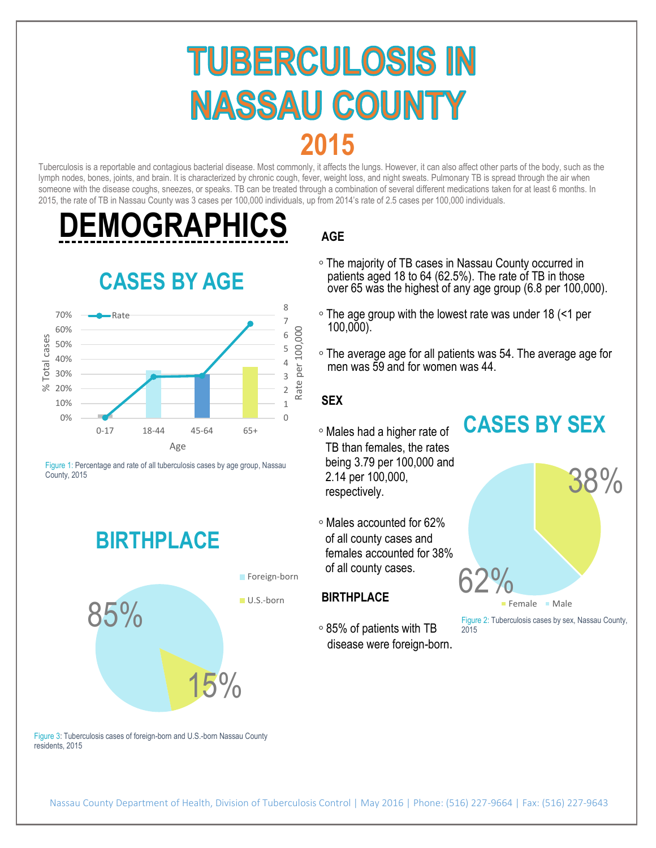## **TUBERCULOSIS IN NASSAU COUNTY 2015**

Tuberculosis is a reportable and contagious bacterial disease. Most commonly, it affects the lungs. However, it can also affect other parts of the body, such as the lymph nodes, bones, joints, and brain. It is characterized by chronic cough, fever, weight loss, and night sweats. Pulmonary TB is spread through the air when someone with the disease coughs, sneezes, or speaks. TB can be treated through a combination of several different medications taken for at least 6 months. In 2015, the rate of TB in Nassau County was 3 cases per 100,000 individuals, up from 2014's rate of 2.5 cases per 100,000 individuals.

# **DEMOGRAPHICS**

**CASES BY AGE**

### .**AGE**

- The majority of TB cases in Nassau County occurred in patients aged 18 to 64 (62.5%). The rate of TB in those bver 65 was the highest of any age group (6.8 per 100,000).
- $\circ$  The age group with the lowest rate was under 18 (<1 per  $100.000$ ).
- The average age for all patients was 54. The average age for men was  $59$  and for women was  $44$ .

### .**SEX**

- Figure 1: Percentage and rate of all tuberculosis cases by age group, Nassau 2.14 per 100,000,<br>County, 2015 2.14 per 100,000, Males had a higher rate of TB than females, the rates being 3.79 per 100,000 and 2.14 per 100,000, respectively.
	- Males accounted for 62% of all county cases and females accounted for 38% of all county cases.

### .**BIRTHPLACE**

 85% of patients with TB disease were foreign-born.

### **CASES BY SEX**

62% Female Male

8 70% Rate 7 60% Rate per 100,000 Rate per 100,000 6 % Total cases 50% 5 40% 4 30% 3 20% 2 10% 1  $\overline{0}$  $\bigcap_{\alpha}$ 

Figure 1: Percentage and rate of all tuberculosis cases by age group, Nassau

0-17 18-44 45-64 65+

Age

## **BIRTHPLACE**



Figure 3: Tuberculosis cases of foreign-born and U.S.-born Nassau County residents, 2015

Nassau County Department of Health, Division of Tuberculosis Control | May 2016 | Phone: (516) 227-9664 | Fax: (516) 227-9643